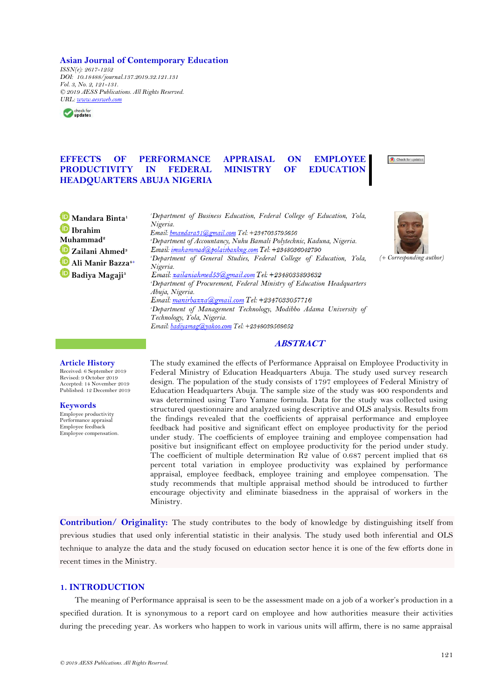### **Asian Journal of Contemporary Education**

*ISSN(e): 2617-1252 DOI: 10.18488/journal.137.2019.32.121.131 Vol. 3, No. 2, 121-131. © 2019 AESS Publications. All Rights Reserved. URL: [www.aessweb.com](http://www.aessweb.com/)*



# **EFFECTS OF PERFORMANCE APPRAISAL ON EMPLOYEE PRODUCTIVITY IN FEDERAL MINISTRY OF EDUCATION HEADQUARTERS ABUJA NIGERIA**

Check for upda

**Mandara Binta<sup>1</sup> Ibrahim Muhammad<sup>2</sup> Zailani Ahmed<sup>3</sup> Ali Manir Bazza4+ Badiya Magaji<sup>5</sup>**

*<sup>1</sup>Department of Business Education, Federal College of Education, Yola, Nigeria.*<br>Email: <u>bmandara31@gmail.com</u> Tel: +2347035795656 *<sup>2</sup>Department of Accountancy, Nuhu Bamali Polytechnic, Kaduna, Nigeria. <sup>3</sup>Department of General Studies, Federal College of Education, Yola, Nigeria.*<br>Email: <u>zailaniahmed53@gmail.com</u> Tel: +2348033893632 *<sup>4</sup>Department of Procurement, Federal Ministry of Education Headquarters Abuja, Nigeria. <sup>5</sup>Department of Management Technology, Modibbo Adama University of Technology, Yola, Nigeria.*



*(+ Corresponding author)*

## **ABSTRACT**

# **Article History**

Received: 6 September 2019 Revised: 9 October 2019 Accepted: 14 November 2019 Published: 12 December 2019

### **Keywords**

Employee productivity Performance appraisal Employee feedback Employee compensation. The study examined the effects of Performance Appraisal on Employee Productivity in Federal Ministry of Education Headquarters Abuja. The study used survey research design. The population of the study consists of 1797 employees of Federal Ministry of Education Headquarters Abuja. The sample size of the study was 400 respondents and was determined using Taro Yamane formula. Data for the study was collected using structured questionnaire and analyzed using descriptive and OLS analysis. Results from the findings revealed that the coefficients of appraisal performance and employee feedback had positive and significant effect on employee productivity for the period under study. The coefficients of employee training and employee compensation had positive but insignificant effect on employee productivity for the period under study. The coefficient of multiple determination R2 value of 0.687 percent implied that 68 percent total variation in employee productivity was explained by performance appraisal, employee feedback, employee training and employee compensation. The study recommends that multiple appraisal method should be introduced to further encourage objectivity and eliminate biasedness in the appraisal of workers in the Ministry.

**Contribution/ Originality:** The study contributes to the body of knowledge by distinguishing itself from previous studies that used only inferential statistic in their analysis. The study used both inferential and OLS technique to analyze the data and the study focused on education sector hence it is one of the few efforts done in recent times in the Ministry.

# **1. INTRODUCTION**

The meaning of Performance appraisal is seen to be the assessment made on a job of a worker"s production in a specified duration. It is synonymous to a report card on employee and how authorities measure their activities during the preceding year. As workers who happen to work in various units will affirm, there is no same appraisal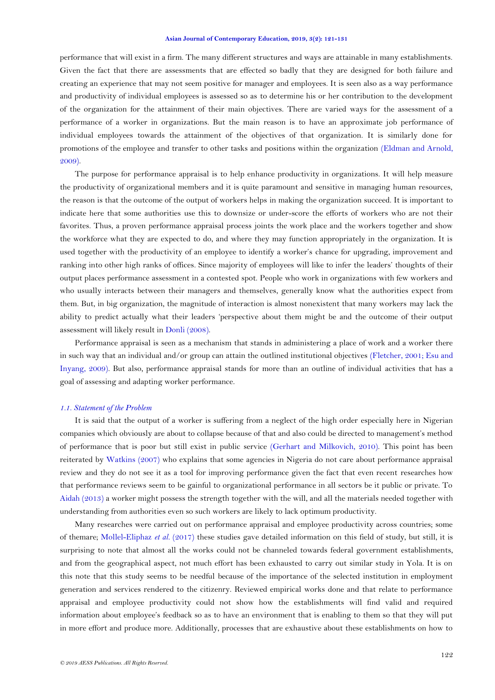performance that will exist in a firm. The many different structures and ways are attainable in many establishments. Given the fact that there are assessments that are effected so badly that they are designed for both failure and creating an experience that may not seem positive for manager and employees. It is seen also as a way performance and productivity of individual employees is assessed so as to determine his or her contribution to the development of the organization for the attainment of their main objectives. There are varied ways for the assessment of a performance of a worker in organizations. But the main reason is to have an approximate job performance of individual employees towards the attainment of the objectives of that organization. It is similarly done for promotions of the employee and transfer to other tasks and positions within the organization [\(Eldman and Arnold,](#page-9-0)  [2009\)](#page-9-0).

The purpose for performance appraisal is to help enhance productivity in organizations. It will help measure the productivity of organizational members and it is quite paramount and sensitive in managing human resources, the reason is that the outcome of the output of workers helps in making the organization succeed. It is important to indicate here that some authorities use this to downsize or under-score the efforts of workers who are not their favorites. Thus, a proven performance appraisal process joints the work place and the workers together and show the workforce what they are expected to do, and where they may function appropriately in the organization. It is used together with the productivity of an employee to identify a worker"s chance for upgrading, improvement and ranking into other high ranks of offices. Since majority of employees will like to infer the leaders" thoughts of their output places performance assessment in a contested spot. People who work in organizations with few workers and who usually interacts between their managers and themselves, generally know what the authorities expect from them. But, in big organization, the magnitude of interaction is almost nonexistent that many workers may lack the ability to predict actually what their leaders "perspective about them might be and the outcome of their output assessment will likely result in [Donli \(2008\)](#page-9-1).

Performance appraisal is seen as a mechanism that stands in administering a place of work and a worker there in such way that an individual and/or group can attain the outlined institutional objectives [\(Fletcher, 2001;](#page-9-2) [Esu and](#page-9-3)  [Inyang, 2009\)](#page-9-3). But also, performance appraisal stands for more than an outline of individual activities that has a goal of assessing and adapting worker performance.

#### *1.1. Statement of the Problem*

It is said that the output of a worker is suffering from a neglect of the high order especially here in Nigerian companies which obviously are about to collapse because of that and also could be directed to management"s method of performance that is poor but still exist in public service [\(Gerhart and Milkovich, 2010\)](#page-9-4). This point has been reiterated by [Watkins \(2007\)](#page-10-0) who explains that some agencies in Nigeria do not care about performance appraisal review and they do not see it as a tool for improving performance given the fact that even recent researches how that performance reviews seem to be gainful to organizational performance in all sectors be it public or private. To [Aidah \(2013\)](#page-8-0) a worker might possess the strength together with the will, and all the materials needed together with understanding from authorities even so such workers are likely to lack optimum productivity.

Many researches were carried out on performance appraisal and employee productivity across countries; some of themare; [Mollel-Eliphaz](#page-10-1) *et al.* (2017) these studies gave detailed information on this field of study, but still, it is surprising to note that almost all the works could not be channeled towards federal government establishments, and from the geographical aspect, not much effort has been exhausted to carry out similar study in Yola. It is on this note that this study seems to be needful because of the importance of the selected institution in employment generation and services rendered to the citizenry. Reviewed empirical works done and that relate to performance appraisal and employee productivity could not show how the establishments will find valid and required information about employee"s feedback so as to have an environment that is enabling to them so that they will put in more effort and produce more. Additionally, processes that are exhaustive about these establishments on how to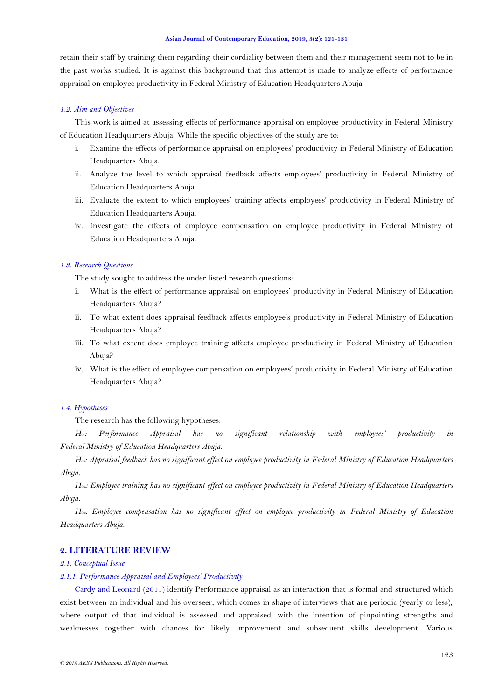retain their staff by training them regarding their cordiality between them and their management seem not to be in the past works studied. It is against this background that this attempt is made to analyze effects of performance appraisal on employee productivity in Federal Ministry of Education Headquarters Abuja.

#### *1.2. Aim and Objectives*

This work is aimed at assessing effects of performance appraisal on employee productivity in Federal Ministry of Education Headquarters Abuja. While the specific objectives of the study are to:

- i. Examine the effects of performance appraisal on employees" productivity in Federal Ministry of Education Headquarters Abuja.
- ii. Analyze the level to which appraisal feedback affects employees' productivity in Federal Ministry of Education Headquarters Abuja.
- iii. Evaluate the extent to which employees" training affects employees" productivity in Federal Ministry of Education Headquarters Abuja.
- iv. Investigate the effects of employee compensation on employee productivity in Federal Ministry of Education Headquarters Abuja.

### *1.3. Research Questions*

The study sought to address the under listed research questions:

- i. What is the effect of performance appraisal on employees" productivity in Federal Ministry of Education Headquarters Abuja?
- ii. To what extent does appraisal feedback affects employee's productivity in Federal Ministry of Education Headquarters Abuja?
- iii. To what extent does employee training affects employee productivity in Federal Ministry of Education Abuja?
- iv. What is the effect of employee compensation on employees" productivity in Federal Ministry of Education Headquarters Abuja?

### *1.4. Hypotheses*

The research has the following hypotheses:

*H01: Performance Appraisal has no significant relationship with employees' productivity in Federal Ministry of Education Headquarters Abuja.*

*H0ii: Appraisal feedback has no significant effect on employee productivity in Federal Ministry of Education Headquarters Abuja.*

*H0iii: Employee training has no significant effect on employee productivity in Federal Ministry of Education Headquarters Abuja.*

*H0iv: Employee compensation has no significant effect on employee productivity in Federal Ministry of Education Headquarters Abuja.*

# **2. LITERATURE REVIEW**

## *2.1. Conceptual Issue*

## *2.1.1. Performance Appraisal and Employees' Productivity*

[Cardy and Leonard \(2011\)](#page-9-5) identify Performance appraisal as an interaction that is formal and structured which exist between an individual and his overseer, which comes in shape of interviews that are periodic (yearly or less), where output of that individual is assessed and appraised, with the intention of pinpointing strengths and weaknesses together with chances for likely improvement and subsequent skills development. Various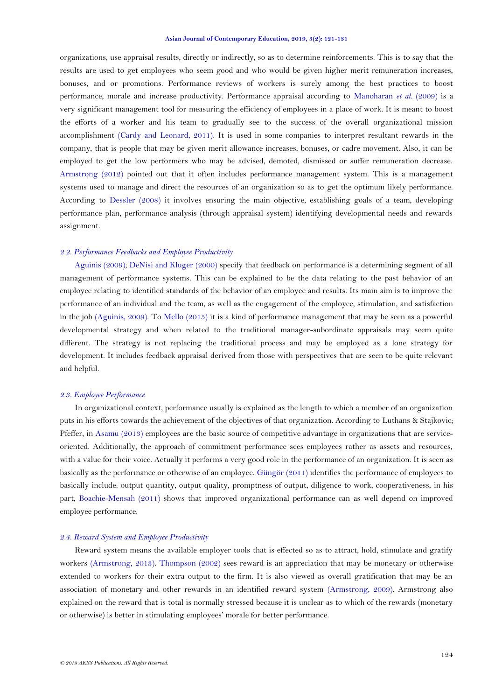organizations, use appraisal results, directly or indirectly, so as to determine reinforcements. This is to say that the results are used to get employees who seem good and who would be given higher merit remuneration increases, bonuses, and or promotions. Performance reviews of workers is surely among the best practices to boost performance, morale and increase productivity. Performance appraisal according to [Manoharan](#page-10-2) *et al.* (2009) is a very significant management tool for measuring the efficiency of employees in a place of work. It is meant to boost the efforts of a worker and his team to gradually see to the success of the overall organizational mission accomplishment [\(Cardy and Leonard, 2011\)](#page-9-5). It is used in some companies to interpret resultant rewards in the company, that is people that may be given merit allowance increases, bonuses, or cadre movement. Also, it can be employed to get the low performers who may be advised, demoted, dismissed or suffer remuneration decrease. [Armstrong \(2012\)](#page-9-6) pointed out that it often includes performance management system. This is a management systems used to manage and direct the resources of an organization so as to get the optimum likely performance. According to [Dessler \(2008\)](#page-9-7) it involves ensuring the main objective, establishing goals of a team, developing performance plan, performance analysis (through appraisal system) identifying developmental needs and rewards assignment.

## *2.2. Performance Feedbacks and Employee Productivity*

[Aguinis \(2009\)](#page-8-1); [DeNisi and Kluger \(2000\)](#page-9-8) specify that feedback on performance is a determining segment of all management of performance systems. This can be explained to be the data relating to the past behavior of an employee relating to identified standards of the behavior of an employee and results. Its main aim is to improve the performance of an individual and the team, as well as the engagement of the employee, stimulation, and satisfaction in the job [\(Aguinis, 2009\)](#page-8-1). To [Mello \(2015\)](#page-10-3) it is a kind of performance management that may be seen as a powerful developmental strategy and when related to the traditional manager-subordinate appraisals may seem quite different. The strategy is not replacing the traditional process and may be employed as a lone strategy for development. It includes feedback appraisal derived from those with perspectives that are seen to be quite relevant and helpful.

## *2.3. Employee Performance*

In organizational context, performance usually is explained as the length to which a member of an organization puts in his efforts towards the achievement of the objectives of that organization. According to Luthans & Stajkovic; Pfeffer, in [Asamu \(2013\)](#page-9-9) employees are the basic source of competitive advantage in organizations that are serviceoriented. Additionally, the approach of commitment performance sees employees rather as assets and resources, with a value for their voice. Actually it performs a very good role in the performance of an organization. It is seen as basically as the performance or otherwise of an employee. [Güngör \(2011\)](#page-9-10) identifies the performance of employees to basically include: output quantity, output quality, promptness of output, diligence to work, cooperativeness, in his part, [Boachie-Mensah \(2011\)](#page-9-11) shows that improved organizational performance can as well depend on improved employee performance.

### *2.4. Reward System and Employee Productivity*

Reward system means the available employer tools that is effected so as to attract, hold, stimulate and gratify workers [\(Armstrong, 2013\)](#page-9-12). [Thompson \(2002\)](#page-10-4) sees reward is an appreciation that may be monetary or otherwise extended to workers for their extra output to the firm. It is also viewed as overall gratification that may be an association of monetary and other rewards in an identified reward system [\(Armstrong, 2009\)](#page-9-13). Armstrong also explained on the reward that is total is normally stressed because it is unclear as to which of the rewards (monetary or otherwise) is better in stimulating employees" morale for better performance.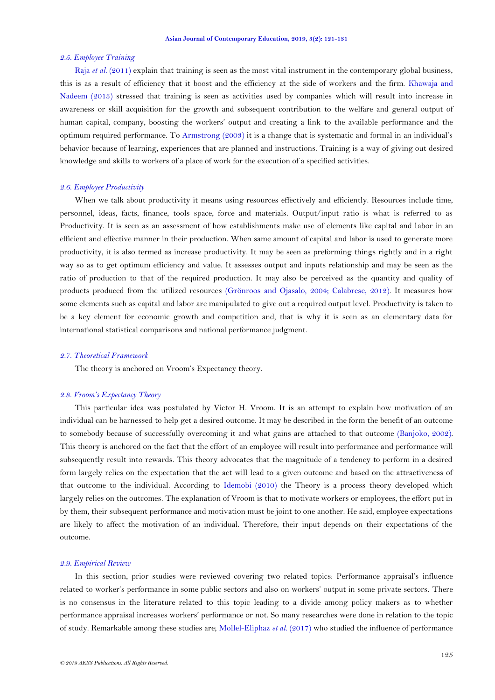### *2.5. Employee Training*

Raja *et al.* [\(2011\)](#page-10-5) explain that training is seen as the most vital instrument in the contemporary global business, this is as a result of efficiency that it boost and the efficiency at the side of workers and the firm. [Khawaja and](#page-10-6)  [Nadeem \(2013\)](#page-10-6) stressed that training is seen as activities used by companies which will result into increase in awareness or skill acquisition for the growth and subsequent contribution to the welfare and general output of human capital, company, boosting the workers" output and creating a link to the available performance and the optimum required performance. To [Armstrong \(2003\)](#page-9-14) it is a change that is systematic and formal in an individual"s behavior because of learning, experiences that are planned and instructions. Training is a way of giving out desired knowledge and skills to workers of a place of work for the execution of a specified activities.

## *2.6. Employee Productivity*

When we talk about productivity it means using resources effectively and efficiently. Resources include time, personnel, ideas, facts, finance, tools space, force and materials. Output/input ratio is what is referred to as Productivity. It is seen as an assessment of how establishments make use of elements like capital and labor in an efficient and effective manner in their production. When same amount of capital and labor is used to generate more productivity, it is also termed as increase productivity. It may be seen as preforming things rightly and in a right way so as to get optimum efficiency and value. It assesses output and inputs relationship and may be seen as the ratio of production to that of the required production. It may also be perceived as the quantity and quality of products produced from the utilized resources [\(Grönroos and Ojasalo, 2004;](#page-9-15) [Calabrese, 2012\)](#page-9-16). It measures how some elements such as capital and labor are manipulated to give out a required output level. Productivity is taken to be a key element for economic growth and competition and, that is why it is seen as an elementary data for international statistical comparisons and national performance judgment.

#### *2.7. Theoretical Framework*

The theory is anchored on Vroom's Expectancy theory.

## *2.8. Vroom's Expectancy Theory*

This particular idea was postulated by Victor H. Vroom. It is an attempt to explain how motivation of an individual can be harnessed to help get a desired outcome. It may be described in the form the benefit of an outcome to somebody because of successfully overcoming it and what gains are attached to that outcome [\(Banjoko, 2002\)](#page-9-17). This theory is anchored on the fact that the effort of an employee will result into performance and performance will subsequently result into rewards. This theory advocates that the magnitude of a tendency to perform in a desired form largely relies on the expectation that the act will lead to a given outcome and based on the attractiveness of that outcome to the individual. According to [Idemobi \(2010\)](#page-10-7) the Theory is a process theory developed which largely relies on the outcomes. The explanation of Vroom is that to motivate workers or employees, the effort put in by them, their subsequent performance and motivation must be joint to one another. He said, employee expectations are likely to affect the motivation of an individual. Therefore, their input depends on their expectations of the outcome.

## *2.9. Empirical Review*

In this section, prior studies were reviewed covering two related topics: Performance appraisal"s influence related to worker"s performance in some public sectors and also on workers" output in some private sectors. There is no consensus in the literature related to this topic leading to a divide among policy makers as to whether performance appraisal increases workers" performance or not. So many researches were done in relation to the topic of study. Remarkable among these studies are; [Mollel-Eliphaz](#page-10-1) *et al.* (2017) who studied the influence of performance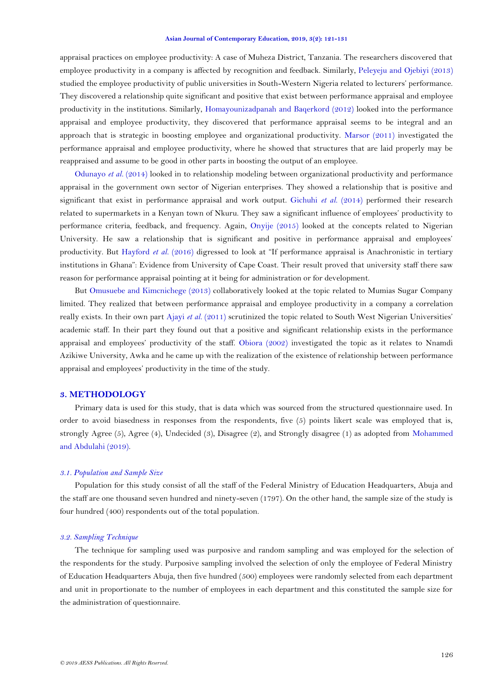appraisal practices on employee productivity: A case of Muheza District, Tanzania. The researchers discovered that employee productivity in a company is affected by recognition and feedback. Similarly, [Peleyeju and Ojebiyi \(2013\)](#page-10-8) studied the employee productivity of public universities in South-Western Nigeria related to lecturers" performance. They discovered a relationship quite significant and positive that exist between performance appraisal and employee productivity in the institutions. Similarly, [Homayounizadpanah and Baqerkord \(2012\)](#page-9-18) looked into the performance appraisal and employee productivity, they discovered that performance appraisal seems to be integral and an approach that is strategic in boosting employee and organizational productivity. [Marsor \(2011\)](#page-10-9) investigated the performance appraisal and employee productivity, where he showed that structures that are laid properly may be reappraised and assume to be good in other parts in boosting the output of an employee.

[Odunayo](#page-10-10) *et al.* (2014) looked in to relationship modeling between organizational productivity and performance appraisal in the government own sector of Nigerian enterprises. They showed a relationship that is positive and significant that exist in performance appraisal and work output. [Gichuhi](#page-9-19) *et al.* (2014) performed their research related to supermarkets in a Kenyan town of Nkuru. They saw a significant influence of employees" productivity to performance criteria, feedback, and frequency. Again, [Onyije \(2015\)](#page-10-11) looked at the concepts related to Nigerian University. He saw a relationship that is significant and positive in performance appraisal and employees" productivity. But [Hayford](#page-9-20) *et al.* (2016) digressed to look at "If performance appraisal is Anachronistic in tertiary institutions in Ghana": Evidence from University of Cape Coast. Their result proved that university staff there saw reason for performance appraisal pointing at it being for administration or for development.

But [Omusuebe and Kimcnichege \(2013\)](#page-10-12) collaboratively looked at the topic related to Mumias Sugar Company limited. They realized that between performance appraisal and employee productivity in a company a correlation really exists. In their own part Ajayi *et al.* [\(2011\)](#page-9-21) scrutinized the topic related to South West Nigerian Universities' academic staff. In their part they found out that a positive and significant relationship exists in the performance appraisal and employees" productivity of the staff. [Obiora \(2002\)](#page-10-13) investigated the topic as it relates to Nnamdi Azikiwe University, Awka and he came up with the realization of the existence of relationship between performance appraisal and employees" productivity in the time of the study.

## **3. METHODOLOGY**

Primary data is used for this study, that is data which was sourced from the structured questionnaire used. In order to avoid biasedness in responses from the respondents, five (5) points likert scale was employed that is, strongly Agree (5), Agree (4), Undecided (3), Disagree (2), and Strongly disagree (1) as adopted from [Mohammed](#page-10-14)  [and Abdulahi \(2019\)](#page-10-14).

### *3.1. Population and Sample Size*

Population for this study consist of all the staff of the Federal Ministry of Education Headquarters, Abuja and the staff are one thousand seven hundred and ninety-seven (1797). On the other hand, the sample size of the study is four hundred (400) respondents out of the total population.

## *3.2. Sampling Technique*

The technique for sampling used was purposive and random sampling and was employed for the selection of the respondents for the study. Purposive sampling involved the selection of only the employee of Federal Ministry of Education Headquarters Abuja, then five hundred (500) employees were randomly selected from each department and unit in proportionate to the number of employees in each department and this constituted the sample size for the administration of questionnaire.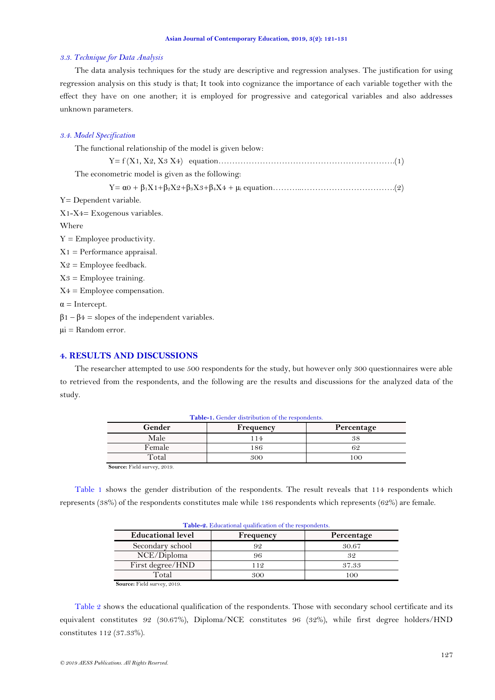### *3.3. Technique for Data Analysis*

The data analysis techniques for the study are descriptive and regression analyses. The justification for using regression analysis on this study is that; It took into cognizance the importance of each variable together with the effect they have on one another; it is employed for progressive and categorical variables and also addresses unknown parameters.

### *3.4. Model Specification*

| The functional relationship of the model is given below:     |
|--------------------------------------------------------------|
|                                                              |
| The econometric model is given as the following:             |
|                                                              |
| Y= Dependent variable.                                       |
| $X1-X4=Exogenous variables.$                                 |
| Where                                                        |
| $Y =$ Employee productivity.                                 |
| $X1 =$ Performance appraisal.                                |
| $X2 =$ Employee feedback.                                    |
| $X3 =$ Employee training.                                    |
| $X4 =$ Employee compensation.                                |
| $\alpha$ = Intercept.                                        |
| $\beta$ 1 – $\beta$ 4 = slopes of the independent variables. |
| μi = Random error.                                           |
|                                                              |

# **4. RESULTS AND DISCUSSIONS**

<span id="page-6-0"></span>The researcher attempted to use 500 respondents for the study, but however only 300 questionnaires were able to retrieved from the respondents, and the following are the results and discussions for the analyzed data of the study.

| <b>Table-1.</b> Gender distribution of the respondents. |           |            |  |  |  |
|---------------------------------------------------------|-----------|------------|--|--|--|
| Gender                                                  | Frequency | Percentage |  |  |  |
| Male                                                    | l 14      | 38         |  |  |  |
| Female                                                  | 186       | 62         |  |  |  |
| Total                                                   | 300       | $\Omega$   |  |  |  |

**Source:** Field survey, 2019.

<span id="page-6-1"></span>[Table 1](#page-6-0) shows the gender distribution of the respondents. The result reveals that 114 respondents which represents (38%) of the respondents constitutes male while 186 respondents which represents (62%) are female.

| Table-2. Educational qualification of the respondents. |            |  |  |  |  |
|--------------------------------------------------------|------------|--|--|--|--|
| Frequency                                              | Percentage |  |  |  |  |
|                                                        | 30.67      |  |  |  |  |
|                                                        | 32         |  |  |  |  |
| 112                                                    | 37.33      |  |  |  |  |
| 300                                                    | 100        |  |  |  |  |
|                                                        |            |  |  |  |  |

**Source:** Field survey, 2019.

[Table 2](#page-6-1) shows the educational qualification of the respondents. Those with secondary school certificate and its equivalent constitutes 92 (30.67%), Diploma/NCE constitutes 96 (32%), while first degree holders/HND constitutes 112 (37.33%).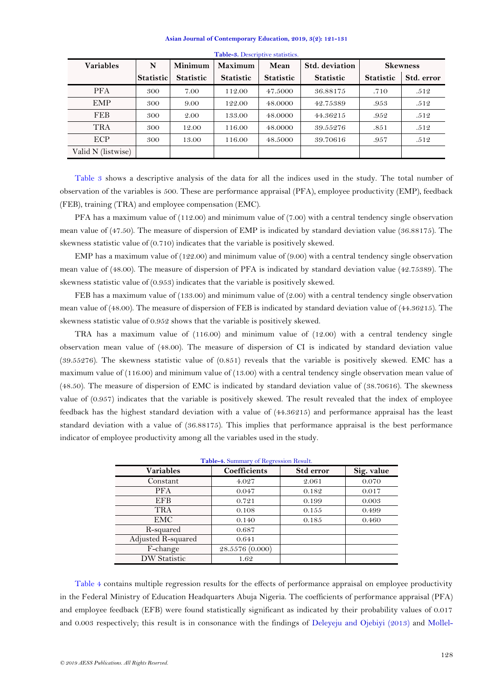<span id="page-7-0"></span>

| <b>Variables</b>   | N         | Minimum          | <b>Maximum</b>   | Mean             | Std. deviation   |                  | <b>Skewness</b> |
|--------------------|-----------|------------------|------------------|------------------|------------------|------------------|-----------------|
|                    | Statistic | <b>Statistic</b> | <b>Statistic</b> | <b>Statistic</b> | <b>Statistic</b> | <b>Statistic</b> | Std. error      |
| <b>PFA</b>         | 300       | 7.00             | 112.00           | 47.5000          | 36.88175         | .710             | .512            |
| <b>EMP</b>         | 300       | 9.00             | 122.00           | 48.0000          | 42.75389         | .953             | .512            |
| <b>FEB</b>         | 300       | 2.00             | 133.00           | 48,0000          | 44.36215         | .952             | .512            |
| TRA                | 300       | 12.00            | 116.00           | 48.0000          | 39.55276         | .851             | .512            |
| ECP.               | 300       | 13.00            | 116.00           | 48.5000          | 39.70616         | .957             | .512            |
| Valid N (listwise) |           |                  |                  |                  |                  |                  |                 |

#### **Table-3.** Descriptive statistics.

[Table 3](#page-7-0) shows a descriptive analysis of the data for all the indices used in the study. The total number of observation of the variables is 500. These are performance appraisal (PFA), employee productivity (EMP), feedback (FEB), training (TRA) and employee compensation (EMC).

PFA has a maximum value of (112.00) and minimum value of (7.00) with a central tendency single observation mean value of (47.50). The measure of dispersion of EMP is indicated by standard deviation value (36.88175). The skewness statistic value of (0.710) indicates that the variable is positively skewed.

EMP has a maximum value of (122.00) and minimum value of (9.00) with a central tendency single observation mean value of (48.00). The measure of dispersion of PFA is indicated by standard deviation value (42.75389). The skewness statistic value of (0.953) indicates that the variable is positively skewed.

FEB has a maximum value of (133.00) and minimum value of (2.00) with a central tendency single observation mean value of (48.00). The measure of dispersion of FEB is indicated by standard deviation value of (44.36215). The skewness statistic value of 0.952 shows that the variable is positively skewed.

TRA has a maximum value of (116.00) and minimum value of (12.00) with a central tendency single observation mean value of (48.00). The measure of dispersion of CI is indicated by standard deviation value (39.55276). The skewness statistic value of (0.851) reveals that the variable is positively skewed. EMC has a maximum value of (116.00) and minimum value of (13.00) with a central tendency single observation mean value of (48.50). The measure of dispersion of EMC is indicated by standard deviation value of (38.70616). The skewness value of (0.957) indicates that the variable is positively skewed. The result revealed that the index of employee feedback has the highest standard deviation with a value of (44.36215) and performance appraisal has the least standard deviation with a value of (36.88175). This implies that performance appraisal is the best performance indicator of employee productivity among all the variables used in the study.

<span id="page-7-1"></span>

| Table-4. Summary of Regression Result. |                     |           |            |  |  |  |
|----------------------------------------|---------------------|-----------|------------|--|--|--|
| <b>Variables</b>                       | <b>Coefficients</b> | Std error | Sig. value |  |  |  |
| Constant                               | 4.027               | 2.061     | 0.070      |  |  |  |
| <b>PFA</b>                             | 0.047               | 0.182     | 0.017      |  |  |  |
| <b>EFB</b>                             | 0.721               | 0.199     | 0.003      |  |  |  |
| TRA                                    | 0.108               | 0.155     | 0.499      |  |  |  |
| EMC                                    | 0.140               | 0.185     | 0.460      |  |  |  |
| R-squared                              | 0.687               |           |            |  |  |  |
| Adjusted R-squared                     | 0.641               |           |            |  |  |  |
| F-change                               | 28.5576 (0.000)     |           |            |  |  |  |
| DW Statistic                           | 1.62                |           |            |  |  |  |

[Table](#page-7-1) 4 contains multiple regression results for the effects of performance appraisal on employee productivity in the Federal Ministry of Education Headquarters Abuja Nigeria. The coefficients of performance appraisal (PFA) and employee feedback (EFB) were found statistically significant as indicated by their probability values of 0.017 and 0.003 respectively; this result is in consonance with the findings of [Deleyeju and Ojebiyi \(2013\)](#page-9-22) and [Mollel-](#page-10-1)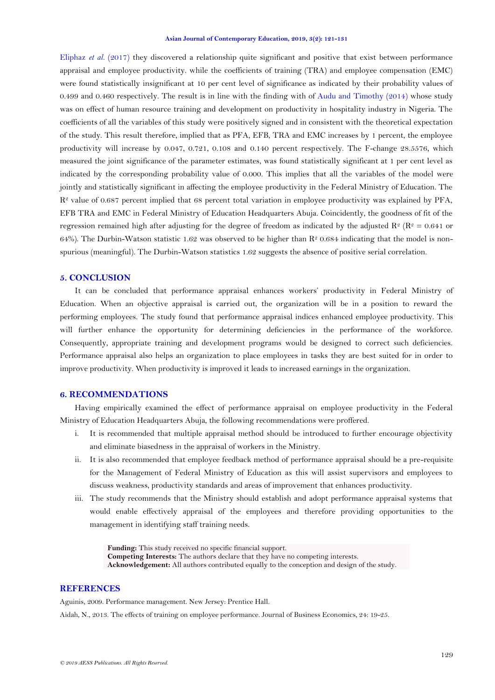[Eliphaz](#page-10-1) *et al.* (2017) they discovered a relationship quite significant and positive that exist between performance appraisal and employee productivity. while the coefficients of training (TRA) and employee compensation (EMC) were found statistically insignificant at 10 per cent level of significance as indicated by their probability values of 0.499 and 0.460 respectively. The result is in line with the finding with of [Audu and Timothy \(2014\)](#page-9-23) whose study was on effect of human resource training and development on productivity in hospitality industry in Nigeria. The coefficients of all the variables of this study were positively signed and in consistent with the theoretical expectation of the study. This result therefore, implied that as PFA, EFB, TRA and EMC increases by 1 percent, the employee productivity will increase by 0.047, 0.721, 0.108 and 0.140 percent respectively. The F-change 28.5576, which measured the joint significance of the parameter estimates, was found statistically significant at 1 per cent level as indicated by the corresponding probability value of 0.000. This implies that all the variables of the model were jointly and statistically significant in affecting the employee productivity in the Federal Ministry of Education. The  $R<sup>2</sup>$  value of 0.687 percent implied that 68 percent total variation in employee productivity was explained by PFA, EFB TRA and EMC in Federal Ministry of Education Headquarters Abuja. Coincidently, the goodness of fit of the regression remained high after adjusting for the degree of freedom as indicated by the adjusted  $\mathbb{R}^2$  ( $\mathbb{R}^2 = 0.641$  or 64%). The Durbin-Watson statistic 1.62 was observed to be higher than  $\mathbb{R}^2$  0.684 indicating that the model is nonspurious (meaningful). The Durbin-Watson statistics 1.62 suggests the absence of positive serial correlation.

## **5. CONCLUSION**

It can be concluded that performance appraisal enhances workers" productivity in Federal Ministry of Education. When an objective appraisal is carried out, the organization will be in a position to reward the performing employees. The study found that performance appraisal indices enhanced employee productivity. This will further enhance the opportunity for determining deficiencies in the performance of the workforce. Consequently, appropriate training and development programs would be designed to correct such deficiencies. Performance appraisal also helps an organization to place employees in tasks they are best suited for in order to improve productivity. When productivity is improved it leads to increased earnings in the organization.

## **6. RECOMMENDATIONS**

Having empirically examined the effect of performance appraisal on employee productivity in the Federal Ministry of Education Headquarters Abuja, the following recommendations were proffered.

- i. It is recommended that multiple appraisal method should be introduced to further encourage objectivity and eliminate biasedness in the appraisal of workers in the Ministry.
- ii. It is also recommended that employee feedback method of performance appraisal should be a pre-requisite for the Management of Federal Ministry of Education as this will assist supervisors and employees to discuss weakness, productivity standards and areas of improvement that enhances productivity.
- iii. The study recommends that the Ministry should establish and adopt performance appraisal systems that would enable effectively appraisal of the employees and therefore providing opportunities to the management in identifying staff training needs.

**Funding:** This study received no specific financial support. **Competing Interests:** The authors declare that they have no competing interests. **Acknowledgement:** All authors contributed equally to the conception and design of the study.

## **REFERENCES**

<span id="page-8-1"></span>Aguinis, 2009. Performance management. New Jersey: Prentice Hall.

<span id="page-8-0"></span>Aidah, N., 2013. The effects of training on employee performance. Journal of Business Economics, 24: 19-25.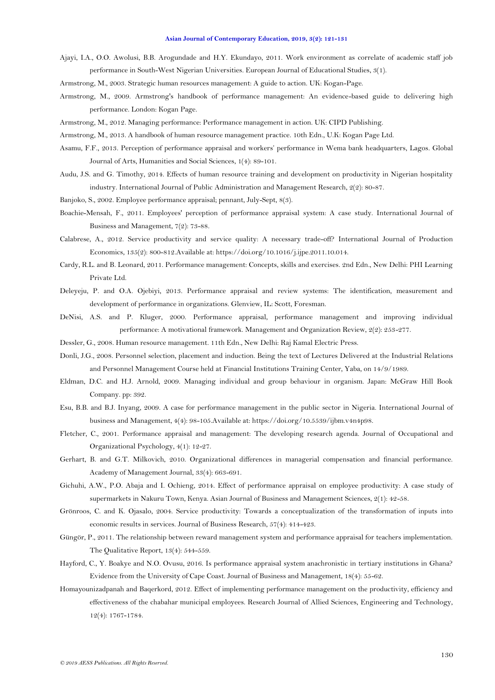- <span id="page-9-21"></span>Ajayi, I.A., O.O. Awolusi, B.B. Arogundade and H.Y. Ekundayo, 2011. Work environment as correlate of academic staff job performance in South-West Nigerian Universities. European Journal of Educational Studies, 3(1).
- <span id="page-9-14"></span>Armstrong, M., 2003. Strategic human resources management: A guide to action. UK: Kogan-Page.
- <span id="page-9-13"></span>Armstrong, M., 2009. Armstrong's handbook of performance management: An evidence-based guide to delivering high performance. London: Kogan Page.
- <span id="page-9-6"></span>Armstrong, M., 2012. Managing performance: Performance management in action. UK: CIPD Publishing.
- <span id="page-9-12"></span>Armstrong, M., 2013. A handbook of human resource management practice. 10th Edn., U.K: Kogan Page Ltd.
- <span id="page-9-9"></span>Asamu, F.F., 2013. Perception of performance appraisal and workers" performance in Wema bank headquarters, Lagos. Global Journal of Arts, Humanities and Social Sciences, 1(4): 89-101.
- <span id="page-9-23"></span>Audu, J.S. and G. Timothy, 2014. Effects of human resource training and development on productivity in Nigerian hospitality industry. International Journal of Public Administration and Management Research, 2(2): 80-87.
- <span id="page-9-17"></span>Banjoko, S., 2002. Employee performance appraisal; pennant, July-Sept, 8(3).
- <span id="page-9-11"></span>Boachie-Mensah, F., 2011. Employees' perception of performance appraisal system: A case study. International Journal of Business and Management, 7(2): 73-88.
- <span id="page-9-16"></span>Calabrese, A., 2012. Service productivity and service quality: A necessary trade-off? International Journal of Production Economics, 135(2): 800-812.Available at: https://doi.org/10.1016/j.ijpe.2011.10.014.
- <span id="page-9-5"></span>Cardy, R.L. and B. Leonard, 2011. Performance management: Concepts, skills and exercises. 2nd Edn., New Delhi: PHI Learning Private Ltd.
- <span id="page-9-22"></span>Deleyeju, P. and O.A. Ojebiyi, 2013. Performance appraisal and review systems: The identification, measurement and development of performance in organizations. Glenview, IL: Scott, Foresman.
- <span id="page-9-8"></span>DeNisi, A.S. and P. Kluger, 2000. Performance appraisal, performance management and improving individual performance: A motivational framework. Management and Organization Review, 2(2): 253-277.
- <span id="page-9-7"></span>Dessler, G., 2008. Human resource management. 11th Edn., New Delhi: Raj Kamal Electric Press.
- <span id="page-9-1"></span>Donli, J.G., 2008. Personnel selection, placement and induction. Being the text of Lectures Delivered at the Industrial Relations and Personnel Management Course held at Financial Institutions Training Center, Yaba, on 14/9/1989.
- <span id="page-9-0"></span>Eldman, D.C. and H.J. Arnold, 2009. Managing individual and group behaviour in organism. Japan: McGraw Hill Book Company. pp: 392.
- <span id="page-9-3"></span>Esu, B.B. and B.J. Inyang, 2009. A case for performance management in the public sector in Nigeria. International Journal of business and Management, 4(4): 98-105.Available at: https://doi.org/10.5539/ijbm.v4n4p98.
- <span id="page-9-2"></span>Fletcher, C., 2001. Performance appraisal and management: The developing research agenda. Journal of Occupational and Organizational Psychology, 4(1): 12-27.
- <span id="page-9-4"></span>Gerhart, B. and G.T. Milkovich, 2010. Organizational differences in managerial compensation and financial performance. Academy of Management Journal, 33(4): 663-691.
- <span id="page-9-19"></span>Gichuhi, A.W., P.O. Abaja and I. Ochieng, 2014. Effect of performance appraisal on employee productivity: A case study of supermarkets in Nakuru Town, Kenya. Asian Journal of Business and Management Sciences, 2(1): 42-58.
- <span id="page-9-15"></span>Grönroos, C. and K. Ojasalo, 2004. Service productivity: Towards a conceptualization of the transformation of inputs into economic results in services. Journal of Business Research, 57(4): 414-423.
- <span id="page-9-10"></span>Güngör, P., 2011. The relationship between reward management system and performance appraisal for teachers implementation. The Qualitative Report, 13(4): 544-559.
- <span id="page-9-20"></span>Hayford, C., Y. Boakye and N.O. Ovusu, 2016. Is performance appraisal system anachronistic in tertiary institutions in Ghana? Evidence from the University of Cape Coast. Journal of Business and Management, 18(4): 55-62.
- <span id="page-9-18"></span>Homayounizadpanah and Baqerkord, 2012. Effect of implementing performance management on the productivity, efficiency and effectiveness of the chabahar municipal employees. Research Journal of Allied Sciences, Engineering and Technology, 12(4): 1767-1784.